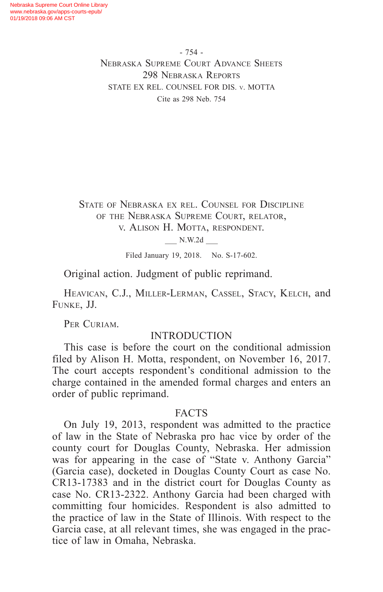- 754 - Nebraska Supreme Court Advance Sheets 298 Nebraska Reports STATE EX REL. COUNSEL FOR DIS. v. MOTTA Cite as 298 Neb. 754

State of Nebraska ex rel. Counsel for Discipline of the Nebraska Supreme Court, relator, v. Alison H. Motta, respondent.

\_\_\_ N.W.2d \_\_\_

Filed January 19, 2018. No. S-17-602.

Original action. Judgment of public reprimand.

Heavican, C.J., Miller-Lerman, Cassel, Stacy, Kelch, and Funke, JJ.

PER CURIAM.

# INTRODUCTION

This case is before the court on the conditional admission filed by Alison H. Motta, respondent, on November 16, 2017. The court accepts respondent's conditional admission to the charge contained in the amended formal charges and enters an order of public reprimand.

### FACTS

On July 19, 2013, respondent was admitted to the practice of law in the State of Nebraska pro hac vice by order of the county court for Douglas County, Nebraska. Her admission was for appearing in the case of "State v. Anthony Garcia" (Garcia case), docketed in Douglas County Court as case No. CR13-17383 and in the district court for Douglas County as case No. CR13-2322. Anthony Garcia had been charged with committing four homicides. Respondent is also admitted to the practice of law in the State of Illinois. With respect to the Garcia case, at all relevant times, she was engaged in the practice of law in Omaha, Nebraska.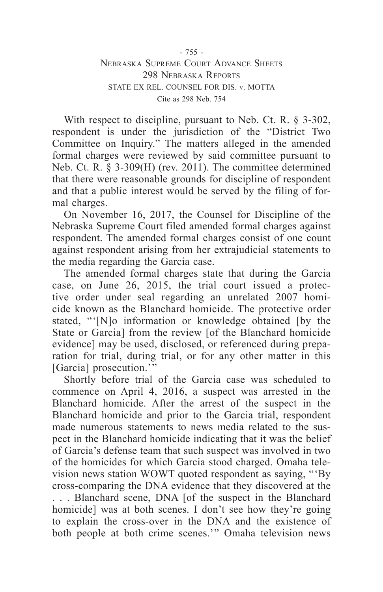Nebraska Supreme Court Advance Sheets 298 Nebraska Reports STATE EX REL. COUNSEL FOR DIS. v. MOTTA Cite as 298 Neb. 754

With respect to discipline, pursuant to Neb. Ct. R. § 3-302, respondent is under the jurisdiction of the "District Two Committee on Inquiry." The matters alleged in the amended formal charges were reviewed by said committee pursuant to Neb. Ct. R. § 3-309(H) (rev. 2011). The committee determined that there were reasonable grounds for discipline of respondent and that a public interest would be served by the filing of formal charges.

On November 16, 2017, the Counsel for Discipline of the Nebraska Supreme Court filed amended formal charges against respondent. The amended formal charges consist of one count against respondent arising from her extrajudicial statements to the media regarding the Garcia case.

The amended formal charges state that during the Garcia case, on June 26, 2015, the trial court issued a protective order under seal regarding an unrelated 2007 homicide known as the Blanchard homicide. The protective order stated, "'[N]o information or knowledge obtained [by the State or Garcia] from the review [of the Blanchard homicide evidence] may be used, disclosed, or referenced during preparation for trial, during trial, or for any other matter in this [Garcia] prosecution."

Shortly before trial of the Garcia case was scheduled to commence on April 4, 2016, a suspect was arrested in the Blanchard homicide. After the arrest of the suspect in the Blanchard homicide and prior to the Garcia trial, respondent made numerous statements to news media related to the suspect in the Blanchard homicide indicating that it was the belief of Garcia's defense team that such suspect was involved in two of the homicides for which Garcia stood charged. Omaha television news station WOWT quoted respondent as saying, "'By cross-comparing the DNA evidence that they discovered at the . . . Blanchard scene, DNA [of the suspect in the Blanchard homicide] was at both scenes. I don't see how they're going to explain the cross-over in the DNA and the existence of both people at both crime scenes.'" Omaha television news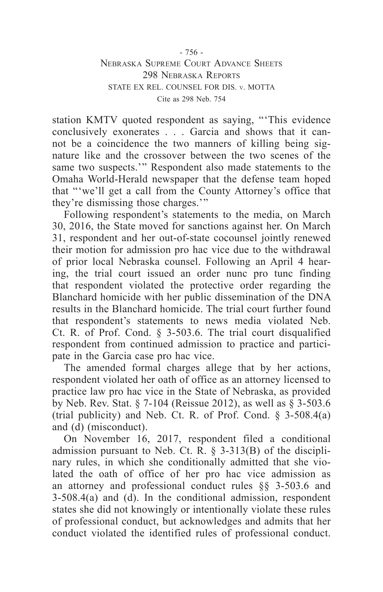station KMTV quoted respondent as saying, "'This evidence conclusively exonerates . . . Garcia and shows that it cannot be a coincidence the two manners of killing being signature like and the crossover between the two scenes of the same two suspects.'" Respondent also made statements to the Omaha World-Herald newspaper that the defense team hoped that "'we'll get a call from the County Attorney's office that they're dismissing those charges.'"

Following respondent's statements to the media, on March 30, 2016, the State moved for sanctions against her. On March 31, respondent and her out-of-state cocounsel jointly renewed their motion for admission pro hac vice due to the withdrawal of prior local Nebraska counsel. Following an April 4 hearing, the trial court issued an order nunc pro tunc finding that respondent violated the protective order regarding the Blanchard homicide with her public dissemination of the DNA results in the Blanchard homicide. The trial court further found that respondent's statements to news media violated Neb. Ct. R. of Prof. Cond. § 3-503.6. The trial court disqualified respondent from continued admission to practice and participate in the Garcia case pro hac vice.

The amended formal charges allege that by her actions, respondent violated her oath of office as an attorney licensed to practice law pro hac vice in the State of Nebraska, as provided by Neb. Rev. Stat. § 7-104 (Reissue 2012), as well as  $\hat{\S}$  3-503.6 (trial publicity) and Neb. Ct. R. of Prof. Cond.  $\S$  3-508.4(a) and (d) (misconduct).

On November 16, 2017, respondent filed a conditional admission pursuant to Neb. Ct. R. § 3-313(B) of the disciplinary rules, in which she conditionally admitted that she violated the oath of office of her pro hac vice admission as an attorney and professional conduct rules §§ 3-503.6 and 3-508.4(a) and (d). In the conditional admission, respondent states she did not knowingly or intentionally violate these rules of professional conduct, but acknowledges and admits that her conduct violated the identified rules of professional conduct.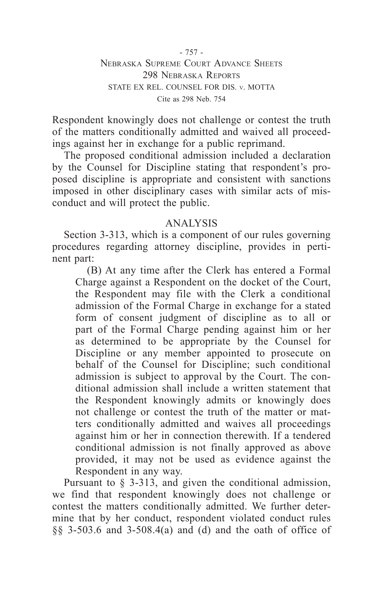- 757 - Nebraska Supreme Court Advance Sheets 298 Nebraska Reports STATE EX REL. COUNSEL FOR DIS. v. MOTTA Cite as 298 Neb. 754

Respondent knowingly does not challenge or contest the truth of the matters conditionally admitted and waived all proceedings against her in exchange for a public reprimand.

The proposed conditional admission included a declaration by the Counsel for Discipline stating that respondent's proposed discipline is appropriate and consistent with sanctions imposed in other disciplinary cases with similar acts of misconduct and will protect the public.

### ANALYSIS

Section 3-313, which is a component of our rules governing procedures regarding attorney discipline, provides in pertinent part:

(B) At any time after the Clerk has entered a Formal Charge against a Respondent on the docket of the Court, the Respondent may file with the Clerk a conditional admission of the Formal Charge in exchange for a stated form of consent judgment of discipline as to all or part of the Formal Charge pending against him or her as determined to be appropriate by the Counsel for Discipline or any member appointed to prosecute on behalf of the Counsel for Discipline; such conditional admission is subject to approval by the Court. The conditional admission shall include a written statement that the Respondent knowingly admits or knowingly does not challenge or contest the truth of the matter or matters conditionally admitted and waives all proceedings against him or her in connection therewith. If a tendered conditional admission is not finally approved as above provided, it may not be used as evidence against the Respondent in any way.

Pursuant to § 3-313, and given the conditional admission, we find that respondent knowingly does not challenge or contest the matters conditionally admitted. We further determine that by her conduct, respondent violated conduct rules §§ 3-503.6 and 3-508.4(a) and (d) and the oath of office of